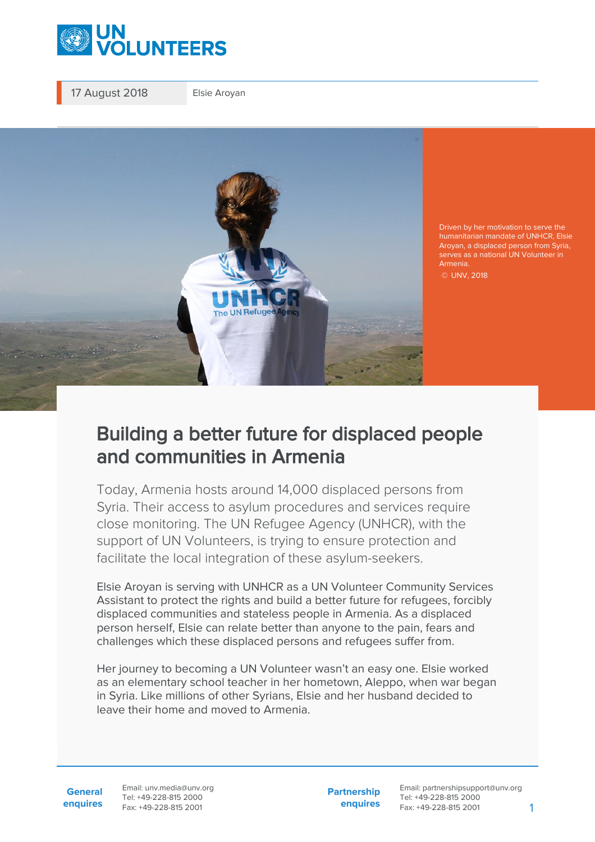

17 August 2018 Elsie Aroyan



Driven by her motivation to serve the humanitarian mandate of UNHCR, Elsie Aroyan, a displaced person from Syria, serves as a national UN Volunteer in Armenia.

© UNV, 2018

## Building a better future for displaced people and communities in Armenia

Today, Armenia hosts around 14,000 displaced persons from Syria. Their access to asylum procedures and services require close monitoring. The UN Refugee Agency (UNHCR), with the support of UN Volunteers, is trying to ensure protection and facilitate the local integration of these asylum-seekers.

Elsie Aroyan is serving with UNHCR as a UN Volunteer Community Services Assistant to protect the rights and build a better future for refugees, forcibly displaced communities and stateless people in Armenia. As a displaced person herself, Elsie can relate better than anyone to the pain, fears and challenges which these displaced persons and refugees suffer from.

Her journey to becoming a UN Volunteer wasn't an easy one. Elsie worked as an elementary school teacher in her hometown, Aleppo, when war began in Syria. Like millions of other Syrians, Elsie and her husband decided to leave their home and moved to Armenia.

**General enquires** Email: unv.media@unv.org Tel: +49-228-815 2000 Fax: +49-228-815 2001

**Partnership enquires**

Email: partnershipsupport@unv.org Tel: +49-228-815 2000 Fax: +49-228-815 2001 1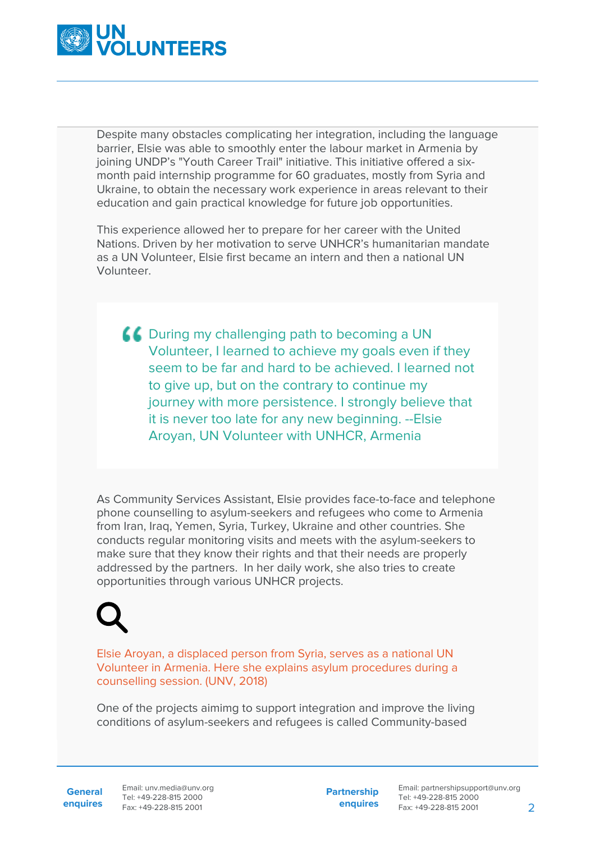

Despite many obstacles complicating her integration, including the language barrier, Elsie was able to smoothly enter the labour market in Armenia by joining UNDP's "Youth Career Trail" initiative. This initiative offered a sixmonth paid internship programme for 60 graduates, mostly from Syria and Ukraine, to obtain the necessary work experience in areas relevant to their education and gain practical knowledge for future job opportunities.

This experience allowed her to prepare for her career with the United Nations. Driven by her motivation to serve UNHCR's humanitarian mandate as a UN Volunteer, Elsie first became an intern and then a national UN Volunteer.

**COULT A During my challenging path to becoming a UN** Volunteer, I learned to achieve my goals even if they seem to be far and hard to be achieved. I learned not to give up, but on the contrary to continue my journey with more persistence. I strongly believe that it is never too late for any new beginning. --Elsie Aroyan, UN Volunteer with UNHCR, Armenia

As Community Services Assistant, Elsie provides face-to-face and telephone phone counselling to asylum-seekers and refugees who come to Armenia from Iran, Iraq, Yemen, Syria, Turkey, Ukraine and other countries. She conducts regular monitoring visits and meets with the asylum-seekers to make sure that they know their rights and that their needs are properly addressed by the partners. In her daily work, she also tries to create opportunities through various UNHCR projects.

Elsie Aroyan, a displaced person from Syria, serves as a national UN Volunteer in Armenia. Here she explains asylum procedures during a counselling session. (UNV, 2018)

One of the projects aimimg to support integration and improve the living conditions of asylum-seekers and refugees is called Community-based

**General**

**enquires** Fax: +49-228-815 2001 Email: unv.media@unv.org Tel: +49-228-815 2000

**Partnership enquires** Email: partnershipsupport@unv.org Tel: +49-228-815 2000 Fax: +49-228-815 2001 2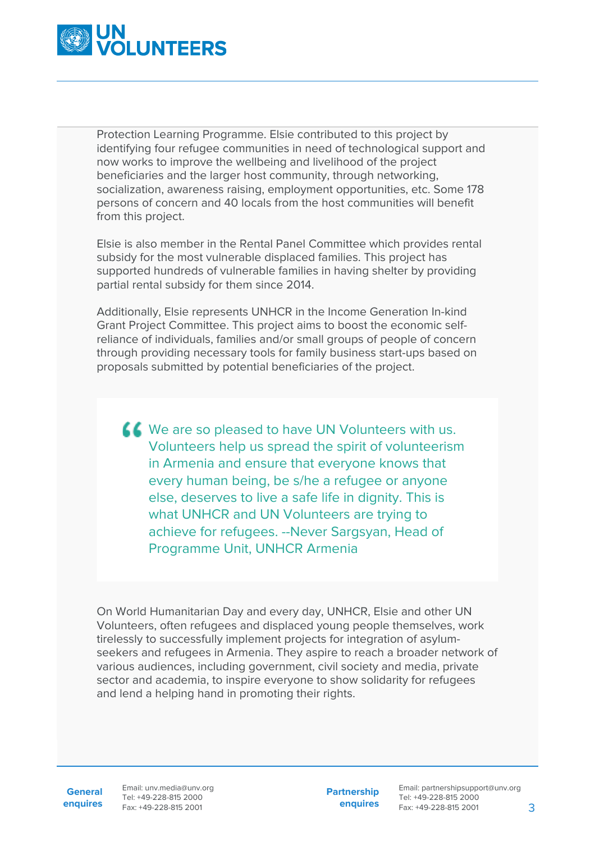

Protection Learning Programme. Elsie contributed to this project by identifying four refugee communities in need of technological support and now works to improve the wellbeing and livelihood of the project beneficiaries and the larger host community, through networking, socialization, awareness raising, employment opportunities, etc. Some 178 persons of concern and 40 locals from the host communities will benefit from this project.

Elsie is also member in the Rental Panel Committee which provides rental subsidy for the most vulnerable displaced families. This project has supported hundreds of vulnerable families in having shelter by providing partial rental subsidy for them since 2014.

Additionally, Elsie represents UNHCR in the Income Generation In-kind Grant Project Committee. This project aims to boost the economic selfreliance of individuals, families and/or small groups of people of concern through providing necessary tools for family business start-ups based on proposals submitted by potential beneficiaries of the project.

KK We are so pleased to have UN Volunteers with us. Volunteers help us spread the spirit of volunteerism in Armenia and ensure that everyone knows that every human being, be s/he a refugee or anyone else, deserves to live a safe life in dignity. This is what UNHCR and UN Volunteers are trying to achieve for refugees. --Never Sargsyan, Head of Programme Unit, UNHCR Armenia

On World Humanitarian Day and every day, UNHCR, Elsie and other UN Volunteers, often refugees and displaced young people themselves, work tirelessly to successfully implement projects for integration of asylumseekers and refugees in Armenia. They aspire to reach a broader network of various audiences, including government, civil society and media, private sector and academia, to inspire everyone to show solidarity for refugees and lend a helping hand in promoting their rights.

**General**

**enquires** Fax: +49-228-815 2001 Email: unv.media@unv.org Tel: +49-228-815 2000

**Partnership enquires**

Email: partnershipsupport@unv.org Tel: +49-228-815 2000 Fax: +49-228-815 2001 3